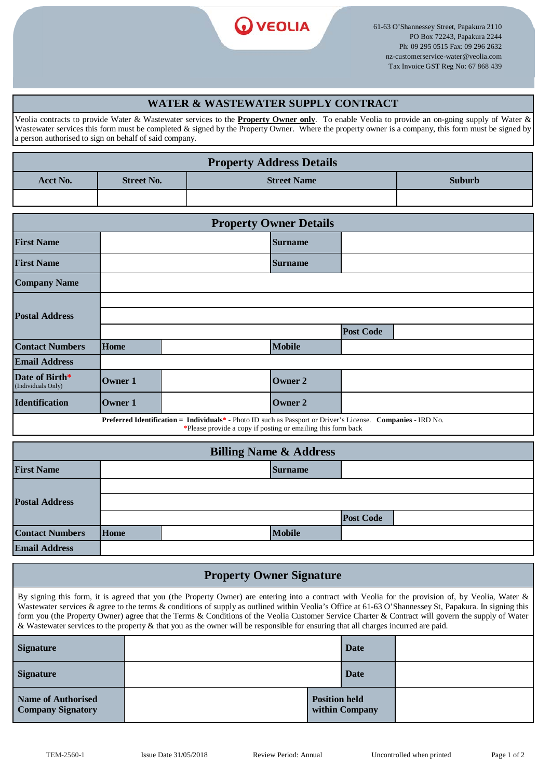

61-63 O'Shannessey Street, Papakura 2110 PO Box 72243, Papakura 2244 Ph: 09 295 0515 Fax: 09 296 2632 nz-customerservice-water@veolia.com Tax Invoice GST Reg No: 67 868 439

### **WATER & WASTEWATER SUPPLY CONTRACT**

Veolia contracts to provide Water & Wastewater services to the **Property Owner only**. To enable Veolia to provide an on-going supply of Water & Wastewater services this form must be completed & signed by the Property Owner. Where the property owner is a company, this form must be signed by a person authorised to sign on behalf of said company.

| <b>Property Address Details</b> |  |                    |               |  |  |
|---------------------------------|--|--------------------|---------------|--|--|
| <b>Street No.</b><br>Acct No.   |  | <b>Street Name</b> | <b>Suburb</b> |  |  |
|                                 |  |                    |               |  |  |

| <b>Property Owner Details</b>                                                                                                                                                |                |  |                |                  |  |  |
|------------------------------------------------------------------------------------------------------------------------------------------------------------------------------|----------------|--|----------------|------------------|--|--|
| <b>First Name</b>                                                                                                                                                            |                |  | <b>Surname</b> |                  |  |  |
| <b>First Name</b>                                                                                                                                                            |                |  | <b>Surname</b> |                  |  |  |
| <b>Company Name</b>                                                                                                                                                          |                |  |                |                  |  |  |
|                                                                                                                                                                              |                |  |                |                  |  |  |
| <b>Postal Address</b>                                                                                                                                                        |                |  |                |                  |  |  |
|                                                                                                                                                                              |                |  |                | <b>Post Code</b> |  |  |
| <b>Contact Numbers</b>                                                                                                                                                       | <b>Home</b>    |  | <b>Mobile</b>  |                  |  |  |
| <b>Email Address</b>                                                                                                                                                         |                |  |                |                  |  |  |
| Date of Birth*<br>(Individuals Only)                                                                                                                                         | Owner 1        |  | Owner 2        |                  |  |  |
| <b>Identification</b>                                                                                                                                                        | <b>Owner 1</b> |  | <b>Owner 2</b> |                  |  |  |
| Preferred Identification = Individuals* - Photo ID such as Passport or Driver's License. Companies - IRD No.<br>*Please provide a copy if posting or emailing this form back |                |  |                |                  |  |  |

| Trease provide a copy if posting or emaning this form sack |  |
|------------------------------------------------------------|--|
|                                                            |  |
|                                                            |  |

| <b>Billing Name &amp; Address</b> |             |  |                |                  |  |
|-----------------------------------|-------------|--|----------------|------------------|--|
| <b>First Name</b>                 |             |  | <b>Surname</b> |                  |  |
| <b>Postal Address</b>             |             |  |                |                  |  |
|                                   |             |  |                |                  |  |
|                                   |             |  |                | <b>Post Code</b> |  |
| <b>Contact Numbers</b>            | <b>Home</b> |  | <b>Mobile</b>  |                  |  |
| <b>Email Address</b>              |             |  |                |                  |  |

# **Property Owner Signature**

By signing this form, it is agreed that you (the Property Owner) are entering into a contract with Veolia for the provision of, by Veolia, Water & Wastewater services & agree to the terms & conditions of supply as outlined within Veolia's Office at 61-63 O'Shannessey St, Papakura. In signing this form you (the Property Owner) agree that the Terms & Conditions of the Veolia Customer Service Charter & Contract will govern the supply of Water & Wastewater services to the property & that you as the owner will be responsible for ensuring that all charges incurred are paid.

| <b>Signature</b>                               |  |                                        | Date |  |
|------------------------------------------------|--|----------------------------------------|------|--|
| <b>Signature</b>                               |  | <b>Date</b>                            |      |  |
| Name of Authorised<br><b>Company Signatory</b> |  | <b>Position held</b><br>within Company |      |  |